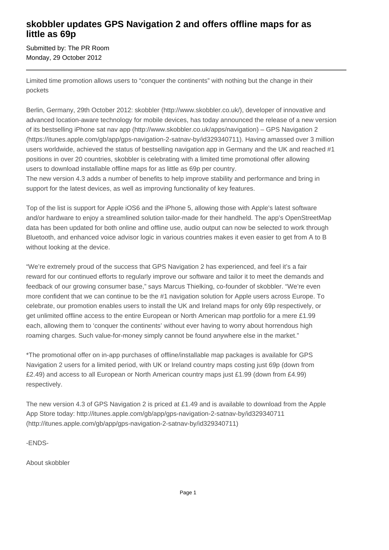## **skobbler updates GPS Navigation 2 and offers offline maps for as little as 69p**

Submitted by: The PR Room Monday, 29 October 2012

Limited time promotion allows users to "conquer the continents" with nothing but the change in their pockets

Berlin, Germany, 29th October 2012: skobbler (http://www.skobbler.co.uk/), developer of innovative and advanced location-aware technology for mobile devices, has today announced the release of a new version of its bestselling iPhone sat nav app (http://www.skobbler.co.uk/apps/navigation) – GPS Navigation 2 (https://itunes.apple.com/gb/app/gps-navigation-2-satnav-by/id329340711). Having amassed over 3 million users worldwide, achieved the status of bestselling navigation app in Germany and the UK and reached #1 positions in over 20 countries, skobbler is celebrating with a limited time promotional offer allowing users to download installable offline maps for as little as 69p per country.

The new version 4.3 adds a number of benefits to help improve stability and performance and bring in support for the latest devices, as well as improving functionality of key features.

Top of the list is support for Apple iOS6 and the iPhone 5, allowing those with Apple's latest software and/or hardware to enjoy a streamlined solution tailor-made for their handheld. The app's OpenStreetMap data has been updated for both online and offline use, audio output can now be selected to work through Bluetooth, and enhanced voice advisor logic in various countries makes it even easier to get from A to B without looking at the device.

"We're extremely proud of the success that GPS Navigation 2 has experienced, and feel it's a fair reward for our continued efforts to regularly improve our software and tailor it to meet the demands and feedback of our growing consumer base," says Marcus Thielking, co-founder of skobbler. "We're even more confident that we can continue to be the #1 navigation solution for Apple users across Europe. To celebrate, our promotion enables users to install the UK and Ireland maps for only 69p respectively, or get unlimited offline access to the entire European or North American map portfolio for a mere £1.99 each, allowing them to 'conquer the continents' without ever having to worry about horrendous high roaming charges. Such value-for-money simply cannot be found anywhere else in the market."

\*The promotional offer on in-app purchases of offline/installable map packages is available for GPS Navigation 2 users for a limited period, with UK or Ireland country maps costing just 69p (down from £2.49) and access to all European or North American country maps just £1.99 (down from £4.99) respectively.

The new version 4.3 of GPS Navigation 2 is priced at £1.49 and is available to download from the Apple App Store today: http://itunes.apple.com/gb/app/gps-navigation-2-satnav-by/id329340711 (http://itunes.apple.com/gb/app/gps-navigation-2-satnav-by/id329340711)

-ENDS-

About skobbler